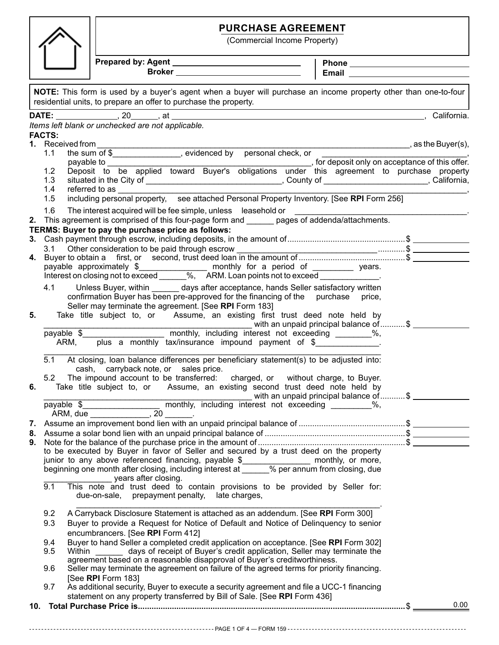|    |               |  | <b>PURCHASE AGREEMENT</b>                                                                                                                                                            |                                                                                                              |
|----|---------------|--|--------------------------------------------------------------------------------------------------------------------------------------------------------------------------------------|--------------------------------------------------------------------------------------------------------------|
|    |               |  | (Commercial Income Property)                                                                                                                                                         |                                                                                                              |
|    |               |  | Prepared by: Agent _______________________________                                                                                                                                   |                                                                                                              |
|    |               |  |                                                                                                                                                                                      |                                                                                                              |
|    |               |  | NOTE: This form is used by a buyer's agent when a buyer will purchase an income property other than one-to-four<br>residential units, to prepare an offer to purchase the property.  |                                                                                                              |
|    |               |  | <b>DATE:</b> $[0, 20, 0, 0]$ , at $[0, 20, 0, 0]$                                                                                                                                    | California.                                                                                                  |
|    | <b>FACTS:</b> |  | Items left blank or unchecked are not applicable.                                                                                                                                    |                                                                                                              |
|    |               |  |                                                                                                                                                                                      | <u>As the Buyer(s), as the Buyer(s), as the Buyer(s), as the Buyer(s), as the Buyer(s), and the Buyer (s</u> |
|    | 1.1           |  |                                                                                                                                                                                      |                                                                                                              |
|    | 1.2           |  | payable to <u>this offer.</u><br>Deposit to be applied toward Buyer's obligations under this agreement to purchase property                                                          |                                                                                                              |
|    | 1.3           |  |                                                                                                                                                                                      |                                                                                                              |
|    | 1.4           |  |                                                                                                                                                                                      |                                                                                                              |
|    | 1.5           |  | including personal property, see attached Personal Property Inventory. [See RPI Form 256]                                                                                            |                                                                                                              |
|    | 1.6           |  | The interest acquired will be fee simple, unless leasehold or                                                                                                                        |                                                                                                              |
|    |               |  | 2. This agreement is comprised of this four-page form and pages of addenda/attachments.<br>TERMS: Buyer to pay the purchase price as follows:                                        |                                                                                                              |
|    |               |  |                                                                                                                                                                                      |                                                                                                              |
|    |               |  |                                                                                                                                                                                      |                                                                                                              |
|    |               |  |                                                                                                                                                                                      |                                                                                                              |
|    |               |  | payable approximately \$__________________ monthly for a period of __________ years.<br>Interest on closing not to exceed ______%, ARM. Loan points not to exceed ____________.      |                                                                                                              |
|    | 4.1           |  | Unless Buyer, within _______ days after acceptance, hands Seller satisfactory written                                                                                                |                                                                                                              |
|    |               |  | confirmation Buyer has been pre-approved for the financing of the purchase price,                                                                                                    |                                                                                                              |
| 5. |               |  | Seller may terminate the agreement. [See RPI Form 183]                                                                                                                               |                                                                                                              |
|    |               |  | Take title subject to, or Assume, an existing first trust deed note held by<br>_________________ with an unpaid principal balance of \$ _____                                        |                                                                                                              |
|    |               |  |                                                                                                                                                                                      |                                                                                                              |
|    |               |  | ARM, plus a monthly tax/insurance impound payment of \$                                                                                                                              |                                                                                                              |
|    | 5.1           |  | At closing, loan balance differences per beneficiary statement(s) to be adjusted into:                                                                                               |                                                                                                              |
|    |               |  | cash, carryback note, or sales price.                                                                                                                                                |                                                                                                              |
| 6. | 5.2           |  | The impound account to be transferred: charged, or without charge, to Buyer.<br>Take title subject to, or Assume, an existing second trust deed note held by                         |                                                                                                              |
|    |               |  | with an unpaid principal balance of\$                                                                                                                                                |                                                                                                              |
|    |               |  |                                                                                                                                                                                      |                                                                                                              |
|    |               |  |                                                                                                                                                                                      |                                                                                                              |
| 7. |               |  |                                                                                                                                                                                      |                                                                                                              |
| 9. |               |  |                                                                                                                                                                                      |                                                                                                              |
|    |               |  | to be executed by Buyer in favor of Seller and secured by a trust deed on the property                                                                                               |                                                                                                              |
|    |               |  | junior to any above referenced financing, payable \$_________________ monthly, or more, beginning one month after closing, including interest at ______% per annum from closing, due |                                                                                                              |
|    |               |  | years after closing.                                                                                                                                                                 |                                                                                                              |
|    | 9.1           |  | This note and trust deed to contain provisions to be provided by Seller for:<br>due-on-sale, prepayment penalty, late charges,                                                       |                                                                                                              |
|    | 9.2           |  | A Carryback Disclosure Statement is attached as an addendum. [See RPI Form 300]                                                                                                      |                                                                                                              |
|    | 9.3           |  | Buyer to provide a Request for Notice of Default and Notice of Delinquency to senior                                                                                                 |                                                                                                              |
|    |               |  | encumbrancers. [See RPI Form 412]                                                                                                                                                    |                                                                                                              |
|    | 9.4<br>9.5    |  | Buyer to hand Seller a completed credit application on acceptance. [See RPI Form 302]<br>days of receipt of Buyer's credit application, Seller may terminate the<br>Within           |                                                                                                              |
|    |               |  | agreement based on a reasonable disapproval of Buyer's creditworthiness.                                                                                                             |                                                                                                              |
|    | 9.6           |  | Seller may terminate the agreement on failure of the agreed terms for priority financing.                                                                                            |                                                                                                              |
|    | 9.7           |  | [See RPI Form 183]<br>As additional security, Buyer to execute a security agreement and file a UCC-1 financing                                                                       |                                                                                                              |
|    |               |  | statement on any property transferred by Bill of Sale. [See RPI Form 436]                                                                                                            |                                                                                                              |
|    |               |  |                                                                                                                                                                                      | 0.00                                                                                                         |
|    |               |  |                                                                                                                                                                                      |                                                                                                              |

------------------------------------------------------------- PAGE 1 OF 4 — FORM 159 -----------------------------------------------------------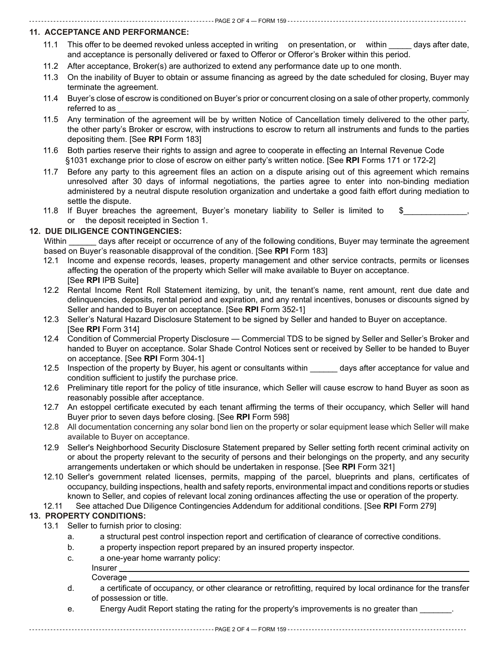#### **11. ACCEPTANCE AND PERFORMANCE:**

11.1 This offer to be deemed revoked unless accepted in writing on presentation, or within days after date, and acceptance is personally delivered or faxed to Offeror or Offeror's Broker within this period.

------------------------------------------------------------- PAGE 2 OF 4 — FORM 159 -----------------------------------------------------------

- 11.2 After acceptance, Broker(s) are authorized to extend any performance date up to one month.
- 11.3 On the inability of Buyer to obtain or assume financing as agreed by the date scheduled for closing, Buyer may terminate the agreement.
- 11.4 Buyer's close of escrow is conditioned on Buyer's prior or concurrent closing on a sale of other property, commonly referred to as
- 11.5 Any termination of the agreement will be by written Notice of Cancellation timely delivered to the other party, the other party's Broker or escrow, with instructions to escrow to return all instruments and funds to the parties depositing them. [See **RPI** Form 183]
- 11.6 Both parties reserve their rights to assign and agree to cooperate in effecting an Internal Revenue Code §1031 exchange prior to close of escrow on either party's written notice. [See **RPI** Forms 171 or 172-2]
- 11.7 Before any party to this agreement files an action on a dispute arising out of this agreement which remains unresolved after 30 days of informal negotiations, the parties agree to enter into non-binding mediation administered by a neutral dispute resolution organization and undertake a good faith effort during mediation to settle the dispute.
- 11.8 If Buyer breaches the agreement, Buyer's monetary liability to Seller is limited to  $$$ or the deposit receipted in Section 1.

#### **12. DUE DILIGENCE CONTINGENCIES:**

Within \_\_\_\_\_\_ days after receipt or occurrence of any of the following conditions, Buyer may terminate the agreement based on Buyer's reasonable disapproval of the condition. [See **RPI** Form 183]

- 12.1 Income and expense records, leases, property management and other service contracts, permits or licenses affecting the operation of the property which Seller will make available to Buyer on acceptance. [See **RPI** IPB Suite]
- 12.2 Rental Income Rent Roll Statement itemizing, by unit, the tenant's name, rent amount, rent due date and delinquencies, deposits, rental period and expiration, and any rental incentives, bonuses or discounts signed by Seller and handed to Buyer on acceptance. [See **RPI** Form 352-1]
- 12.3 Seller's Natural Hazard Disclosure Statement to be signed by Seller and handed to Buyer on acceptance. [See **RPI** Form 314]
- 12.4 Condition of Commercial Property Disclosure Commercial TDS to be signed by Seller and Seller's Broker and handed to Buyer on acceptance. Solar Shade Control Notices sent or received by Seller to be handed to Buyer on acceptance. [See **RPI** Form 304-1]
- 12.5 Inspection of the property by Buyer, his agent or consultants within days after acceptance for value and condition sufficient to justify the purchase price.
- 12.6 Preliminary title report for the policy of title insurance, which Seller will cause escrow to hand Buyer as soon as reasonably possible after acceptance.
- 12.7 An estoppel certificate executed by each tenant affirming the terms of their occupancy, which Seller will hand Buyer prior to seven days before closing. [See **RPI** Form 598]
- 12.8 All documentation concerning any solar bond lien on the property or solar equipment lease which Seller will make available to Buyer on acceptance.
- 12.9 Seller's Neighborhood Security Disclosure Statement prepared by Seller setting forth recent criminal activity on or about the property relevant to the security of persons and their belongings on the property, and any security arrangements undertaken or which should be undertaken in response. [See **RPI** Form 321]
- 12.10 Seller's government related licenses, permits, mapping of the parcel, blueprints and plans, certificates of occupancy, building inspections, health and safety reports, environmental impact and conditions reports or studies known to Seller, and copies of relevant local zoning ordinances affecting the use or operation of the property.
- 12.11 � See attached Due Diligence Contingencies Addendum for additional conditions. [See **RPI** Form 279]

### **13. PROPERTY CONDITIONS:**

- 13.1 Seller to furnish prior to closing:
	- a. � a structural pest control inspection report and certification of clearance of corrective conditions.
	- b. � a property inspection report prepared by an insured property inspector.
	- c. a one-year home warranty policy:
		- Insurer
	- Coverage d. � a certificate of occupancy, or other clearance or retrofitting, required by local ordinance for the transfer of possession or title.
	- e. Energy Audit Report stating the rating for the property's improvements is no greater than **EXEC 10.**

------------------------------------------------------------- PAGE 2 OF 4 — FORM 159 -----------------------------------------------------------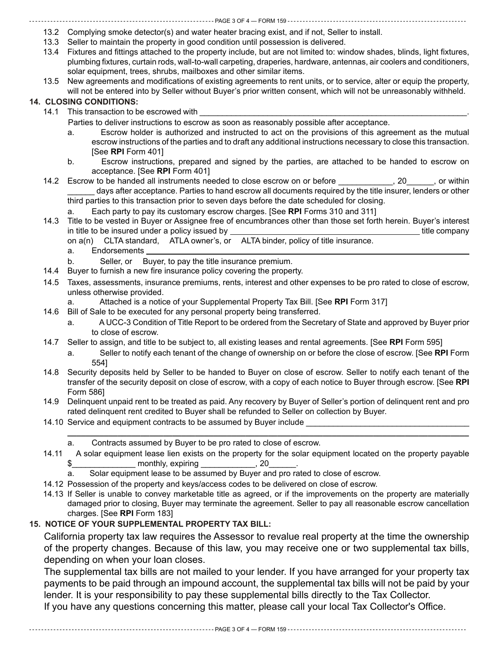- 13.2 Complying smoke detector(s) and water heater bracing exist, and if not, Seller to install.
- 13.3 Seller to maintain the property in good condition until possession is delivered.
- 13.4 Fixtures and fittings attached to the property include, but are not limited to: window shades, blinds, light fixtures, plumbing fixtures, curtain rods, wall-to-wall carpeting, draperies, hardware, antennas, air coolers and conditioners, solar equipment, trees, shrubs, mailboxes and other similar items.

---------- PAGE 3 OF 4 — FORM 159 --------

13.5 New agreements and modifications of existing agreements to rent units, or to service, alter or equip the property, will not be entered into by Seller without Buyer's prior written consent, which will not be unreasonably withheld.

## **14. CLOSING CONDITIONS:**

14.1 This transaction to be escrowed with

Parties to deliver instructions to escrow as soon as reasonably possible after acceptance.

- a. � Escrow holder is authorized and instructed to act on the provisions of this agreement as the mutual escrow instructions of the parties and to draft any additional instructions necessary to close this transaction. [See **RPI** Form 401]
- b. � Escrow instructions, prepared and signed by the parties, are attached to be handed to escrow on acceptance. [See **RPI** Form 401]
- 14.2 Escrow to be handed all instruments needed to close escrow on or before \_\_\_\_\_\_\_\_\_\_\_, 20\_\_\_\_\_\_, or within days after acceptance. Parties to hand escrow all documents required by the title insurer, lenders or other third parties to this transaction prior to seven days before the date scheduled for closing.

a. Each party to pay its customary escrow charges. [See **RPI** Forms 310 and 311]

14.3 Title to be vested in Buyer or Assignee free of encumbrances other than those set forth herein. Buyer's interest in title to be insured under a policy issued by  $\overline{\phantom{a}}$   $\overline{\phantom{a}}$   $\overline{\phantom{a}}$   $\overline{\phantom{a}}$  and  $\overline{\phantom{a}}$  and  $\overline{\phantom{a}}$  and  $\overline{\phantom{a}}$  and  $\overline{\phantom{a}}$  and  $\overline{\phantom{a}}$  and  $\overline{\phantom{a}}$  and  $\overline{\phantom{a}}$  and  $\overline{\phantom{a$ 

on  $a(n)$  CLTA standard, ATLA owner's, or ALTA binder, policy of title insurance.

- a. Endorsements
- b. Seller, or Buyer, to pay the title insurance premium.
- 14.4 Buyer to furnish a new fire insurance policy covering the property.
- 14.5 Taxes, assessments, insurance premiums, rents, interest and other expenses to be pro rated to close of escrow, unless otherwise provided.
	- a. � Attached is a notice of your Supplemental Property Tax Bill. [See **RPI** Form 317]
- 14.6 Bill of Sale to be executed for any personal property being transferred.
	- a. � A UCC-3 Condition of Title Report to be ordered from the Secretary of State and approved by Buyer prior to close of escrow.
- 14.7 Seller to assign, and title to be subject to, all existing leases and rental agreements. [See **RPI** Form 595]
	- a. � Seller to notify each tenant of the change of ownership on or before the close of escrow. [See **RPI** Form 554]
- 14.8 Security deposits held by Seller to be handed to Buyer on close of escrow. Seller to notify each tenant of the transfer of the security deposit on close of escrow, with a copy of each notice to Buyer through escrow. [See **RPI** Form 586]
- 14.9 Delinquent unpaid rent to be treated as paid. Any recovery by Buyer of Seller's portion of delinquent rent and pro rated delinquent rent credited to Buyer shall be refunded to Seller on collection by Buyer.
- 14.10 Service and equipment contracts to be assumed by Buyer include

**\_\_\_\_\_\_\_\_\_\_\_\_\_\_\_\_\_\_\_\_\_\_\_\_\_\_\_\_\_\_\_\_\_\_\_\_\_\_\_\_\_\_\_\_\_\_\_\_\_\_\_\_\_\_\_\_\_\_\_\_\_\_\_\_\_\_\_\_\_\_\_\_\_\_\_\_\_\_\_\_\_\_\_\_\_\_\_\_** a. Contracts assumed by Buyer to be pro rated to close of escrow.

- 14.11 A solar equipment lease lien exists on the property for the solar equipment located on the property payable  $\text{\$}$  monthly, expiring the set of  $\text{?}20$ 
	- a. Solar equipment lease to be assumed by Buyer and pro rated to close of escrow.
- 14.12 Possession of the property and keys/access codes to be delivered on close of escrow.
- 14.13 If Seller is unable to convey marketable title as agreed, or if the improvements on the property are materially damaged prior to closing, Buyer may terminate the agreement. Seller to pay all reasonable escrow cancellation charges. [See **RPI** Form 183]

# **15. NOTICE OF YOUR SUPPLEMENTAL PROPERTY TAX BILL:**

California property tax law requires the Assessor to revalue real property at the time the ownership of the property changes. Because of this law, you may receive one or two supplemental tax bills, depending on when your loan closes.

The supplemental tax bills are not mailed to your lender. If you have arranged for your property tax payments to be paid through an impound account, the supplemental tax bills will not be paid by your lender. It is your responsibility to pay these supplemental bills directly to the Tax Collector.

If you have any questions concerning this matter, please call your local Tax Collector's Office.

------------------------------------------------------------- PAGE 3 OF 4 — FORM 159 -----------------------------------------------------------